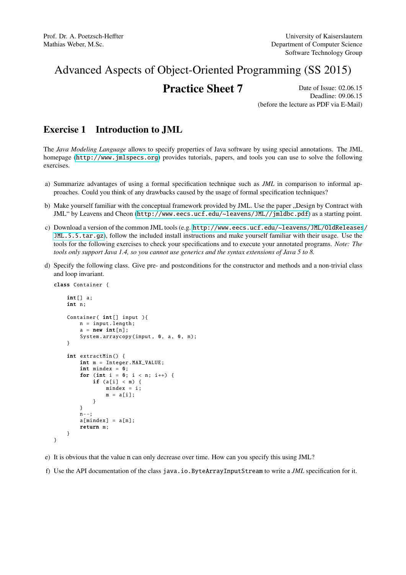# Advanced Aspects of Object-Oriented Programming (SS 2015)

## **Practice Sheet 7** Date of Issue: 02.06.15

Deadline: 09.06.15 (before the lecture as PDF via E-Mail)

## Exercise 1 Introduction to JML

The *Java Modeling Language* allows to specify properties of Java software by using special annotations. The JML homepage (<http://www.jmlspecs.org>) provides tutorials, papers, and tools you can use to solve the following exercises.

- a) Summarize advantages of using a formal specification technique such as *JML* in comparison to informal approaches. Could you think of any drawbacks caused by the usage of formal specification techniques?
- b) Make yourself familiar with the conceptual framework provided by JML. Use the paper "Design by Contract with JML" by Leavens and Cheon (<http://www.eecs.ucf.edu/~leavens/JML//jmldbc.pdf>) as a starting point.
- c) Download a version of the common JML tools (e.g. [http://www.eecs.ucf.edu/~leavens/JML/OldReleases](http://www.eecs.ucf.edu/~leavens/JML/OldReleases/JML.5.5.tar.gz)/ [JML.5.5.tar.gz](http://www.eecs.ucf.edu/~leavens/JML/OldReleases/JML.5.5.tar.gz)), follow the included install instructions and make yourself familiar with their usage. Use the tools for the following exercises to check your specifications and to execute your annotated programs. *Note: The tools only support Java 1.4, so you cannot use generics and the syntax extensions of Java 5 to 8.*
- d) Specify the following class. Give pre- and postconditions for the constructor and methods and a non-trivial class and loop invariant.

```
class Container {
    int[1] a;
    int n;
    Container( int[] input ){
        n = input.length;
        a = new int[n];System. arraycopy (input, 0, a, 0, n);
    }
    int extractMin () {
        int m = Integer. MAX_VALUE ;
        int mindex = 0;
        for (int i = 0; i < n; i++) {
            if (a[i] < m) {
                mindex = i;m = a[i]:
            }
        }
        n - -;
        a[mindex] = a[n];return m;
    }
```
- }
- e) It is obvious that the value n can only decrease over time. How can you specify this using JML?
- f) Use the API documentation of the class java.io.ByteArrayInputStream to write a *JML* specification for it.